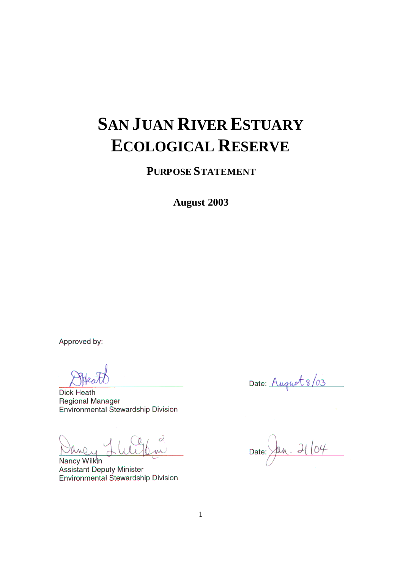## **SAN JUAN RIVER ESTUARY ECOLOGICAL RESERVE**

**PURPOSE STATEMENT**

**August 2003**

Approved by:

**Dick Heath Regional Manager** Environmental Stewardship Division

2 m

**Nancy Wilkin Assistant Deputy Minister Environmental Stewardship Division** 

Date: August 8/03

 $.2104$ Date: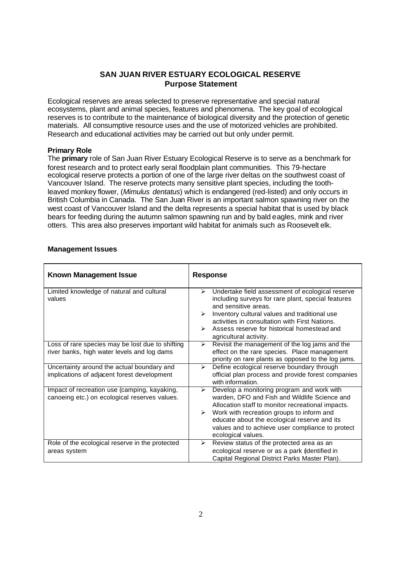## **SAN JUAN RIVER ESTUARY ECOLOGICAL RESERVE Purpose Statement**

Ecological reserves are areas selected to preserve representative and special natural ecosystems, plant and animal species, features and phenomena. The key goal of ecological reserves is to contribute to the maintenance of biological diversity and the protection of genetic materials. All consumptive resource uses and the use of motorized vehicles are prohibited. Research and educational activities may be carried out but only under permit.

## **Primary Role**

The **primary** role of San Juan River Estuary Ecological Reserve is to serve as a benchmark for forest research and to protect early seral floodplain plant communities. This 79-hectare ecological reserve protects a portion of one of the large river deltas on the southwest coast of Vancouver Island. The reserve protects many sensitive plant species, including the toothleaved monkey flower, (*Mimulus dentatus*) which is endangered (red-listed) and only occurs in British Columbia in Canada. The San Juan River is an important salmon spawning river on the west coast of Vancouver Island and the delta represents a special habitat that is used by black bears for feeding during the autumn salmon spawning run and by bald eagles, mink and river otters. This area also preserves important wild habitat for animals such as Roosevelt elk.

| <b>Known Management Issue</b>                                                                   | <b>Response</b>                                                                                                                                                                                                                                                                                                                                                           |  |
|-------------------------------------------------------------------------------------------------|---------------------------------------------------------------------------------------------------------------------------------------------------------------------------------------------------------------------------------------------------------------------------------------------------------------------------------------------------------------------------|--|
| Limited knowledge of natural and cultural<br>values                                             | Undertake field assessment of ecological reserve<br>$\blacktriangleright$<br>including surveys for rare plant, special features<br>and sensitive areas.<br>Inventory cultural values and traditional use<br>$\blacktriangleright$<br>activities in consultation with First Nations.<br>Assess reserve for historical homestead and<br>➤<br>agricultural activity.         |  |
| Loss of rare species may be lost due to shifting<br>river banks, high water levels and log dams | Revisit the management of the log jams and the<br>≻<br>effect on the rare species. Place management<br>priority on rare plants as opposed to the log jams.                                                                                                                                                                                                                |  |
| Uncertainty around the actual boundary and<br>implications of adjacent forest development       | Define ecological reserve boundary through<br>≻<br>official plan process and provide forest companies<br>with information.                                                                                                                                                                                                                                                |  |
| Impact of recreation use (camping, kayaking,<br>canoeing etc.) on ecological reserves values.   | Develop a monitoring program and work with<br>$\blacktriangleright$<br>warden, DFO and Fish and Wildlife Science and<br>Allocation staff to monitor recreational impacts.<br>Work with recreation groups to inform and<br>$\blacktriangleright$<br>educate about the ecological reserve and its<br>values and to achieve user compliance to protect<br>ecological values. |  |
| Role of the ecological reserve in the protected<br>areas system                                 | Review status of the protected area as an<br>≻<br>ecological reserve or as a park (identified in<br>Capital Regional District Parks Master Plan).                                                                                                                                                                                                                         |  |